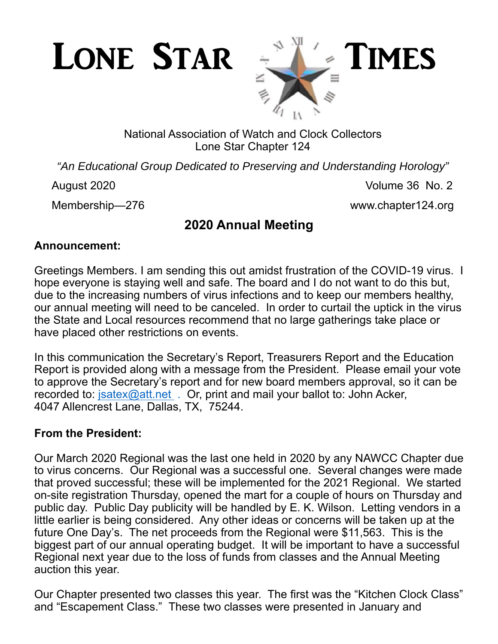

# National Association of Watch and Clock Collectors Lone Star Chapter 124

*"An Educational Group Dedicated to Preserving and Understanding Horology"* 

August 2020 **Volume 36 No. 2** 

Membership—276 www.chapter124.org

# **2020 Annual Meeting**

# **Announcement:**

Greetings Members. I am sending this out amidst frustration of the COVID-19 virus. I hope everyone is staying well and safe. The board and I do not want to do this but, due to the increasing numbers of virus infections and to keep our members healthy, our annual meeting will need to be canceled. In order to curtail the uptick in the virus the State and Local resources recommend that no large gatherings take place or have placed other restrictions on events.

In this communication the Secretary's Report, Treasurers Report and the Education Report is provided along with a message from the President. Please email your vote to approve the Secretary's report and for new board members approval, so it can be recorded to: jsatex@att.net . Or, print and mail your ballot to: John Acker, 4047 Allencrest Lane, Dallas, TX, 75244.

# **From the President:**

Our March 2020 Regional was the last one held in 2020 by any NAWCC Chapter due to virus concerns. Our Regional was a successful one. Several changes were made that proved successful; these will be implemented for the 2021 Regional. We started on-site registration Thursday, opened the mart for a couple of hours on Thursday and public day. Public Day publicity will be handled by E. K. Wilson. Letting vendors in a little earlier is being considered. Any other ideas or concerns will be taken up at the future One Day's. The net proceeds from the Regional were \$11,563. This is the biggest part of our annual operating budget. It will be important to have a successful Regional next year due to the loss of funds from classes and the Annual Meeting auction this year.

Our Chapter presented two classes this year. The first was the "Kitchen Clock Class" and "Escapement Class." These two classes were presented in January and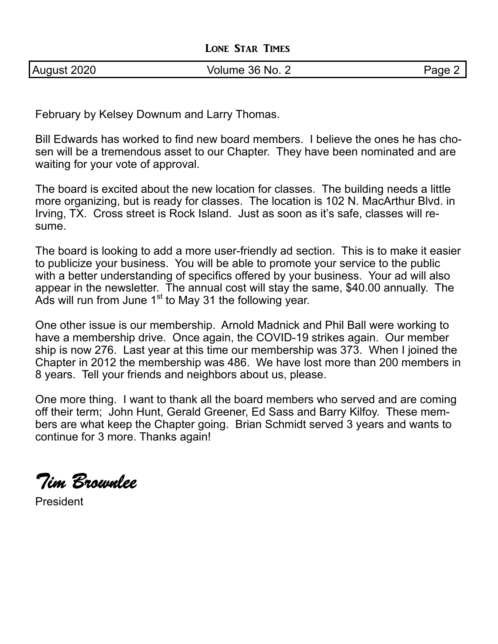February by Kelsey Downum and Larry Thomas.

Bill Edwards has worked to find new board members. I believe the ones he has chosen will be a tremendous asset to our Chapter. They have been nominated and are waiting for your vote of approval.

The board is excited about the new location for classes. The building needs a little more organizing, but is ready for classes. The location is 102 N. MacArthur Blvd. in Irving, TX. Cross street is Rock Island. Just as soon as it's safe, classes will resume.

The board is looking to add a more user-friendly ad section. This is to make it easier to publicize your business. You will be able to promote your service to the public with a better understanding of specifics offered by your business. Your ad will also appear in the newsletter. The annual cost will stay the same, \$40.00 annually. The Ads will run from June 1<sup>st</sup> to May 31 the following year.

One other issue is our membership. Arnold Madnick and Phil Ball were working to have a membership drive. Once again, the COVID-19 strikes again. Our member ship is now 276. Last year at this time our membership was 373. When I joined the Chapter in 2012 the membership was 486. We have lost more than 200 members in 8 years. Tell your friends and neighbors about us, please.

One more thing. I want to thank all the board members who served and are coming off their term; John Hunt, Gerald Greener, Ed Sass and Barry Kilfoy. These members are what keep the Chapter going. Brian Schmidt served 3 years and wants to continue for 3 more. Thanks again!

*Tim Brownlee* 

President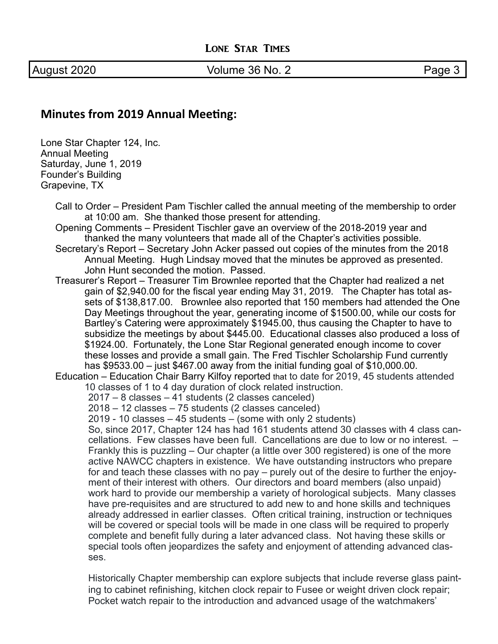August 2020 **Volume 36 No. 2** Page 3

## **Minutes from 2019 Annual Meeting:**

Lone Star Chapter 124, Inc. Annual Meeting Saturday, June 1, 2019 Founder's Building Grapevine, TX

> Call to Order – President Pam Tischler called the annual meeting of the membership to order at 10:00 am. She thanked those present for attending.

Opening Comments – President Tischler gave an overview of the 2018-2019 year and thanked the many volunteers that made all of the Chapter's activities possible.

- Secretary's Report Secretary John Acker passed out copies of the minutes from the 2018 Annual Meeting. Hugh Lindsay moved that the minutes be approved as presented. John Hunt seconded the motion. Passed.
- Treasurer's Report Treasurer Tim Brownlee reported that the Chapter had realized a net gain of \$2,940.00 for the fiscal year ending May 31, 2019. The Chapter has total assets of \$138,817.00. Brownlee also reported that 150 members had attended the One Day Meetings throughout the year, generating income of \$1500.00, while our costs for Bartley's Catering were approximately \$1945.00, thus causing the Chapter to have to subsidize the meetings by about \$445.00. Educational classes also produced a loss of \$1924.00. Fortunately, the Lone Star Regional generated enough income to cover these losses and provide a small gain. The Fred Tischler Scholarship Fund currently has \$9533.00 – just \$467.00 away from the initial funding goal of \$10,000.00.

Education – Education Chair Barry Kilfoy reported that to date for 2019, 45 students attended 10 classes of 1 to 4 day duration of clock related instruction.

2017 – 8 classes – 41 students (2 classes canceled)

2018 – 12 classes – 75 students (2 classes canceled)

2019 - 10 classes – 45 students – (some with only 2 students)

So, since 2017, Chapter 124 has had 161 students attend 30 classes with 4 class cancellations. Few classes have been full. Cancellations are due to low or no interest. – Frankly this is puzzling – Our chapter (a little over 300 registered) is one of the more active NAWCC chapters in existence. We have outstanding instructors who prepare for and teach these classes with no pay – purely out of the desire to further the enjoyment of their interest with others. Our directors and board members (also unpaid) work hard to provide our membership a variety of horological subjects. Many classes have pre-requisites and are structured to add new to and hone skills and techniques already addressed in earlier classes. Often critical training, instruction or techniques will be covered or special tools will be made in one class will be required to properly complete and benefit fully during a later advanced class. Not having these skills or special tools often jeopardizes the safety and enjoyment of attending advanced classes.

Historically Chapter membership can explore subjects that include reverse glass painting to cabinet refinishing, kitchen clock repair to Fusee or weight driven clock repair; Pocket watch repair to the introduction and advanced usage of the watchmakers'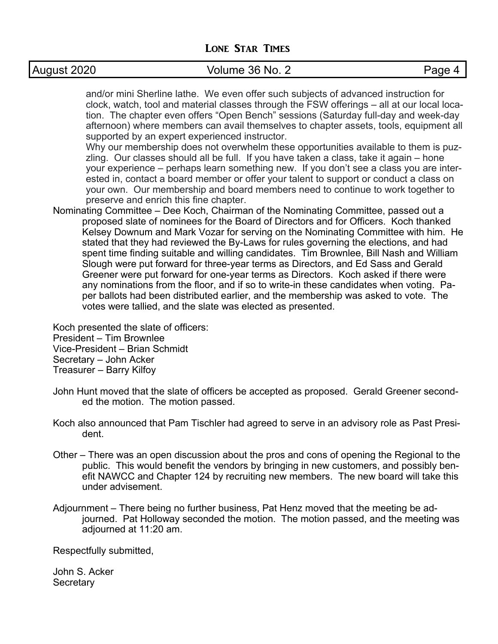# August 2020 **Colume 36 No. 2** Page 4

and/or mini Sherline lathe. We even offer such subjects of advanced instruction for clock, watch, tool and material classes through the FSW offerings – all at our local location. The chapter even offers "Open Bench" sessions (Saturday full-day and week-day afternoon) where members can avail themselves to chapter assets, tools, equipment all supported by an expert experienced instructor.

Why our membership does not overwhelm these opportunities available to them is puzzling. Our classes should all be full. If you have taken a class, take it again – hone your experience – perhaps learn something new. If you don't see a class you are interested in, contact a board member or offer your talent to support or conduct a class on your own. Our membership and board members need to continue to work together to preserve and enrich this fine chapter.

Nominating Committee – Dee Koch, Chairman of the Nominating Committee, passed out a proposed slate of nominees for the Board of Directors and for Officers. Koch thanked Kelsey Downum and Mark Vozar for serving on the Nominating Committee with him. He stated that they had reviewed the By-Laws for rules governing the elections, and had spent time finding suitable and willing candidates. Tim Brownlee, Bill Nash and William Slough were put forward for three-year terms as Directors, and Ed Sass and Gerald Greener were put forward for one-year terms as Directors. Koch asked if there were any nominations from the floor, and if so to write-in these candidates when voting. Paper ballots had been distributed earlier, and the membership was asked to vote. The votes were tallied, and the slate was elected as presented.

Koch presented the slate of officers: President – Tim Brownlee

Vice-President – Brian Schmidt

Secretary – John Acker

Treasurer – Barry Kilfoy

- John Hunt moved that the slate of officers be accepted as proposed. Gerald Greener seconded the motion. The motion passed.
- Koch also announced that Pam Tischler had agreed to serve in an advisory role as Past President.
- Other There was an open discussion about the pros and cons of opening the Regional to the public. This would benefit the vendors by bringing in new customers, and possibly benefit NAWCC and Chapter 124 by recruiting new members. The new board will take this under advisement.
- Adjournment There being no further business, Pat Henz moved that the meeting be adjourned. Pat Holloway seconded the motion. The motion passed, and the meeting was adjourned at 11:20 am.

Respectfully submitted,

John S. Acker **Secretary**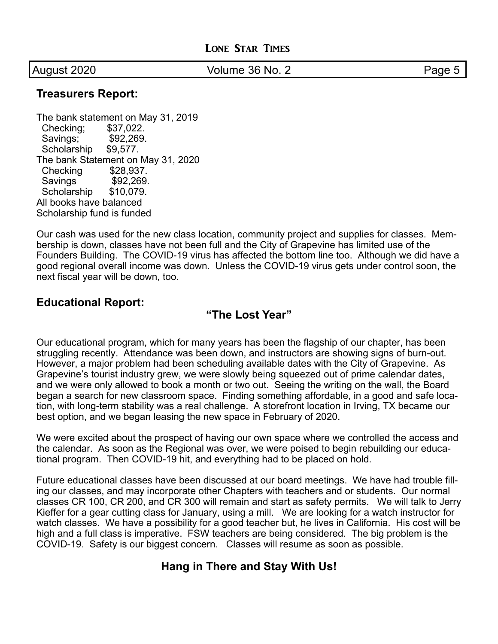August 2020 **Volume 36 No. 2** Page 5

#### **Treasurers Report:**

The bank statement on May 31, 2019 Checking; \$37,022. Savings; \$92,269. Scholarship \$9,577. The bank Statement on May 31, 2020 Checking \$28,937. Savings \$92,269. Scholarship \$10,079. All books have balanced Scholarship fund is funded

Our cash was used for the new class location, community project and supplies for classes. Membership is down, classes have not been full and the City of Grapevine has limited use of the Founders Building. The COVID-19 virus has affected the bottom line too. Although we did have a good regional overall income was down. Unless the COVID-19 virus gets under control soon, the next fiscal year will be down, too.

### **Educational Report:**

### **"The Lost Year"**

Our educational program, which for many years has been the flagship of our chapter, has been struggling recently. Attendance was been down, and instructors are showing signs of burn-out. However, a major problem had been scheduling available dates with the City of Grapevine. As Grapevine's tourist industry grew, we were slowly being squeezed out of prime calendar dates, and we were only allowed to book a month or two out. Seeing the writing on the wall, the Board began a search for new classroom space. Finding something affordable, in a good and safe location, with long-term stability was a real challenge. A storefront location in Irving, TX became our best option, and we began leasing the new space in February of 2020.

We were excited about the prospect of having our own space where we controlled the access and the calendar. As soon as the Regional was over, we were poised to begin rebuilding our educational program. Then COVID-19 hit, and everything had to be placed on hold.

Future educational classes have been discussed at our board meetings. We have had trouble filling our classes, and may incorporate other Chapters with teachers and or students. Our normal classes CR 100, CR 200, and CR 300 will remain and start as safety permits. We will talk to Jerry Kieffer for a gear cutting class for January, using a mill. We are looking for a watch instructor for watch classes. We have a possibility for a good teacher but, he lives in California. His cost will be high and a full class is imperative. FSW teachers are being considered. The big problem is the COVID-19. Safety is our biggest concern. Classes will resume as soon as possible.

# **Hang in There and Stay With Us!**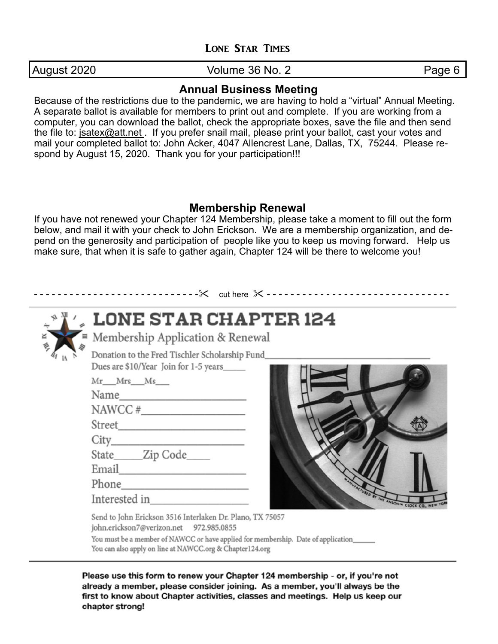August 2020 **Volume 36 No. 2** Page 6

## **Annual Business Meeting**

Because of the restrictions due to the pandemic, we are having to hold a "virtual" Annual Meeting. A separate ballot is available for members to print out and complete. If you are working from a computer, you can download the ballot, check the appropriate boxes, save the file and then send the file to: jsatex@att.net . If you prefer snail mail, please print your ballot, cast your votes and mail your completed ballot to: John Acker, 4047 Allencrest Lane, Dallas, TX, 75244. Please respond by August 15, 2020. Thank you for your participation!!!

## **Membership Renewal**

If you have not renewed your Chapter 124 Membership, please take a moment to fill out the form below, and mail it with your check to John Erickson. We are a membership organization, and depend on the generosity and participation of people like you to keep us moving forward. Help us make sure, that when it is safe to gather again, Chapter 124 will be there to welcome you!

| LONE STAR CHAPTER 124<br>$\equiv$ Membership Application & Renewal<br>×<br>夸                                                                                                                                                                               |  |
|------------------------------------------------------------------------------------------------------------------------------------------------------------------------------------------------------------------------------------------------------------|--|
| Donation to the Fred Tischler Scholarship Fund_<br>Dues are \$10/Year Join for 1-5 years<br>Mr_Mrs_Ms__<br>NAWCC # $\_$<br>Street<br>State______Zip Code_____<br>Email<br>Interested in<br>NSONIA CLOCK CO.                                                |  |
| Send to John Erickson 3516 Interlaken Dr. Plano, TX 75057<br>john.erickson7@verizon.net 972.985.0855<br>You must be a member of NAWCC or have applied for membership. Date of application_____<br>You can also apply on line at NAWCC.org & Chapter124.org |  |

already a member, please consider joining. As a member, you'll always be the first to know about Chapter activities, classes and meetings. Help us keep our chapter strong!